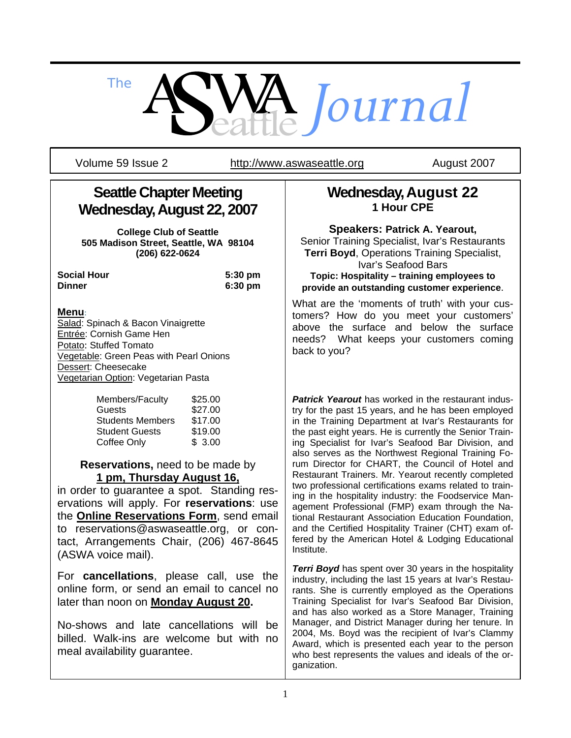

Volume 59 Issue 2 http://www.aswaseattle.org August 2007

# **Seattle Chapter Meeting Wednesday, August 22, 2007**

**College Club of Seattle 505 Madison Street, Seattle, WA 98104 (206) 622-0624** 

| Social Hour |  |
|-------------|--|
| Dinner      |  |

5:30 pm **Dinner 6:30 pm**

#### **Menu**:

Salad: Spinach & Bacon Vinaigrette Entrée: Cornish Game Hen Potato: Stuffed Tomato Vegetable: Green Peas with Pearl Onions Dessert: Cheesecake Vegetarian Option: Vegetarian Pasta

| Members/Faculty         | \$25.00 |
|-------------------------|---------|
| Guests                  | \$27.00 |
| <b>Students Members</b> | \$17.00 |
| <b>Student Guests</b>   | \$19.00 |
| Coffee Only             | \$3.00  |

**Reservations,** need to be made by **1 pm, Thursday August 16,** 

in order to guarantee a spot. Standing reservations will apply. For **reservations**: use the **Online Reservations Form**, send email to reservations@aswaseattle.org, or contact, Arrangements Chair, (206) 467-8645 (ASWA voice mail).

For **cancellations**, please call, use the online form, or send an email to cancel no later than noon on **Monday August 20.** 

No-shows and late cancellations will be billed. Walk-ins are welcome but with no meal availability guarantee.

## **Wednesday, August 22 1 Hour CPE**

**Speakers: Patrick A. Yearout,** Senior Training Specialist, Ivar's Restaurants **Terri Boyd**, Operations Training Specialist, Ivar's Seafood Bars **Topic: Hospitality – training employees to provide an outstanding customer experience**.

What are the 'moments of truth' with your customers? How do you meet your customers' above the surface and below the surface needs? What keeps your customers coming back to you?

*Patrick Yearout* has worked in the restaurant industry for the past 15 years, and he has been employed in the Training Department at Ivar's Restaurants for the past eight years. He is currently the Senior Training Specialist for Ivar's Seafood Bar Division, and also serves as the Northwest Regional Training Forum Director for CHART, the Council of Hotel and Restaurant Trainers. Mr. Yearout recently completed two professional certifications exams related to training in the hospitality industry: the Foodservice Management Professional (FMP) exam through the National Restaurant Association Education Foundation, and the Certified Hospitality Trainer (CHT) exam offered by the American Hotel & Lodging Educational Institute.

**Terri Boyd** has spent over 30 years in the hospitality industry, including the last 15 years at Ivar's Restaurants. She is currently employed as the Operations Training Specialist for Ivar's Seafood Bar Division, and has also worked as a Store Manager, Training Manager, and District Manager during her tenure. In 2004, Ms. Boyd was the recipient of Ivar's Clammy Award, which is presented each year to the person who best represents the values and ideals of the organization.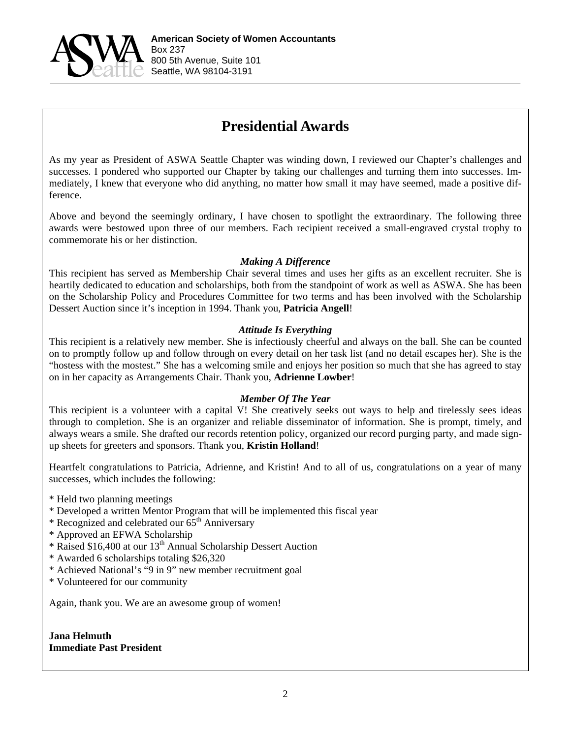

# **Presidential Awards**

As my year as President of ASWA Seattle Chapter was winding down, I reviewed our Chapter's challenges and successes. I pondered who supported our Chapter by taking our challenges and turning them into successes. Immediately, I knew that everyone who did anything, no matter how small it may have seemed, made a positive difference.

Above and beyond the seemingly ordinary, I have chosen to spotlight the extraordinary. The following three awards were bestowed upon three of our members. Each recipient received a small-engraved crystal trophy to commemorate his or her distinction.

#### *Making A Difference*

This recipient has served as Membership Chair several times and uses her gifts as an excellent recruiter. She is heartily dedicated to education and scholarships, both from the standpoint of work as well as ASWA. She has been on the Scholarship Policy and Procedures Committee for two terms and has been involved with the Scholarship Dessert Auction since it's inception in 1994. Thank you, **Patricia Angell**!

#### *Attitude Is Everything*

This recipient is a relatively new member. She is infectiously cheerful and always on the ball. She can be counted on to promptly follow up and follow through on every detail on her task list (and no detail escapes her). She is the "hostess with the mostest." She has a welcoming smile and enjoys her position so much that she has agreed to stay on in her capacity as Arrangements Chair. Thank you, **Adrienne Lowber**!

#### *Member Of The Year*

This recipient is a volunteer with a capital V! She creatively seeks out ways to help and tirelessly sees ideas through to completion. She is an organizer and reliable disseminator of information. She is prompt, timely, and always wears a smile. She drafted our records retention policy, organized our record purging party, and made signup sheets for greeters and sponsors. Thank you, **Kristin Holland**!

Heartfelt congratulations to Patricia, Adrienne, and Kristin! And to all of us, congratulations on a year of many successes, which includes the following:

- \* Held two planning meetings
- \* Developed a written Mentor Program that will be implemented this fiscal year
- \* Recognized and celebrated our 65<sup>th</sup> Anniversary
- \* Approved an EFWA Scholarship
- \* Raised \$16,400 at our 13th Annual Scholarship Dessert Auction
- \* Awarded 6 scholarships totaling \$26,320
- \* Achieved National's "9 in 9" new member recruitment goal
- \* Volunteered for our community

Again, thank you. We are an awesome group of women!

**Jana Helmuth Immediate Past President**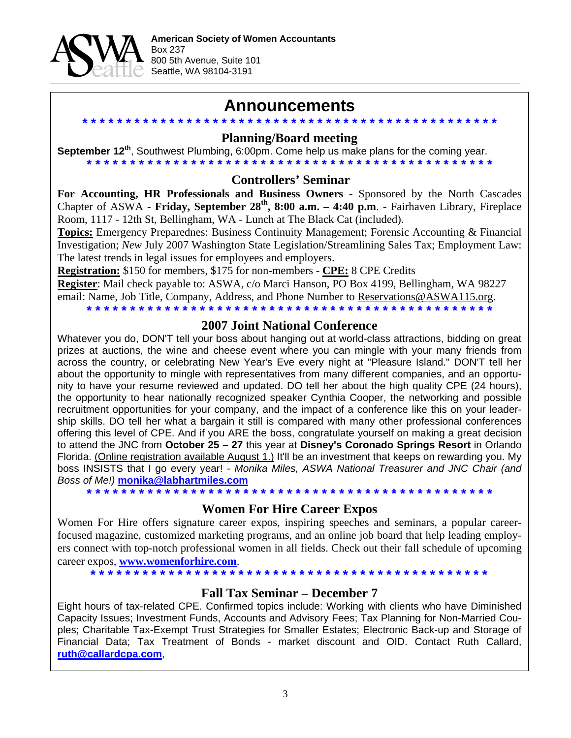

## **Announcements**

**\* \* \* \* \* \* \* \* \* \* \* \* \* \* \* \* \* \* \* \* \* \* \* \* \* \* \* \* \* \* \* \* \* \* \* \* \* \* \* \* \* \* \* \* \* \* \* \* Planning/Board meeting** 

**September 12th**, Southwest Plumbing, 6:00pm. Come help us make plans for the coming year. **\* \* \* \* \* \* \* \* \* \* \* \* \* \* \* \* \* \* \* \* \* \* \* \* \* \* \* \* \* \* \* \* \* \* \* \* \* \* \* \* \* \* \* \* \* \* \***

### **Controllers' Seminar**

For Accounting, HR Professionals and Business Owners - Sponsored by the North Cascades Chapter of ASWA - **Friday, September 28th, 8:00 a.m. – 4:40 p.m**. - Fairhaven Library, Fireplace Room, 1117 - 12th St, Bellingham, WA - Lunch at The Black Cat (included).

**Topics:** Emergency Preparednes: Business Continuity Management; Forensic Accounting & Financial Investigation; *New* July 2007 Washington State Legislation/Streamlining Sales Tax; Employment Law: The latest trends in legal issues for employees and employers.

**Registration:** \$150 for members, \$175 for non-members - **CPE:** 8 CPE Credits

**Register**: Mail check payable to: ASWA, c/o Marci Hanson, PO Box 4199, Bellingham, WA 98227 email: Name, Job Title, Company, Address, and Phone Number to Reservations@ASWA115.org.

**\* \* \* \* \* \* \* \* \* \* \* \* \* \* \* \* \* \* \* \* \* \* \* \* \* \* \* \* \* \* \* \* \* \* \* \* \* \* \* \* \* \* \* \* \* \* \***

#### **2007 Joint National Conference**

Whatever you do, DON'T tell your boss about hanging out at world-class attractions, bidding on great prizes at auctions, the wine and cheese event where you can mingle with your many friends from across the country, or celebrating New Year's Eve every night at "Pleasure Island." DON'T tell her about the opportunity to mingle with representatives from many different companies, and an opportunity to have your resume reviewed and updated. DO tell her about the high quality CPE (24 hours), the opportunity to hear nationally recognized speaker Cynthia Cooper, the networking and possible recruitment opportunities for your company, and the impact of a conference like this on your leadership skills. DO tell her what a bargain it still is compared with many other professional conferences offering this level of CPE. And if you ARE the boss, congratulate yourself on making a great decision to attend the JNC from **October 25 – 27** this year at **Disney's Coronado Springs Resort** in Orlando Florida. (Online registration available August 1.) It'll be an investment that keeps on rewarding you. My boss INSISTS that I go every year! - *Monika Miles, ASWA National Treasurer and JNC Chair (and Boss of Me!)* **monika@labhartmiles.com**

**\* \* \* \* \* \* \* \* \* \* \* \* \* \* \* \* \* \* \* \* \* \* \* \* \* \* \* \* \* \* \* \* \* \* \* \* \* \* \* \* \* \* \* \* \* \* \*** 

#### **Women For Hire Career Expos**

Women For Hire offers signature career expos, inspiring speeches and seminars, a popular careerfocused magazine, customized marketing programs, and an online job board that help leading employers connect with top-notch professional women in all fields. Check out their fall schedule of upcoming career expos, **www.womenforhire.com**.

**\* \* \* \* \* \* \* \* \* \* \* \* \* \* \* \* \* \* \* \* \* \* \* \* \* \* \* \* \* \* \* \* \* \* \* \* \* \* \* \* \* \* \* \* \* \*** 

#### **Fall Tax Seminar – December 7**

Eight hours of tax-related CPE. Confirmed topics include: Working with clients who have Diminished Capacity Issues; Investment Funds, Accounts and Advisory Fees; Tax Planning for Non-Married Couples; Charitable Tax-Exempt Trust Strategies for Smaller Estates; Electronic Back-up and Storage of Financial Data; Tax Treatment of Bonds - market discount and OID. Contact Ruth Callard, **ruth@callardcpa.com**,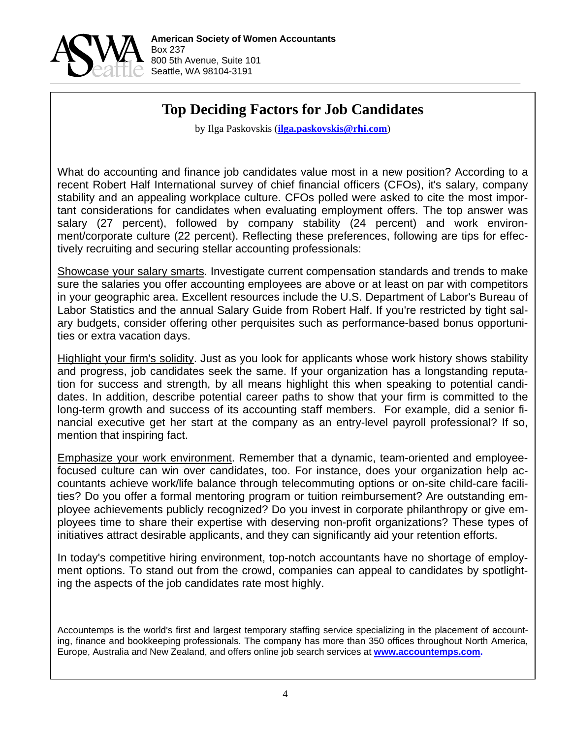

# **Top Deciding Factors for Job Candidates**

by Ilga Paskovskis (**ilga.paskovskis@rhi.com**)

What do accounting and finance job candidates value most in a new position? According to a recent Robert Half International survey of chief financial officers (CFOs), it's salary, company stability and an appealing workplace culture. CFOs polled were asked to cite the most important considerations for candidates when evaluating employment offers. The top answer was salary (27 percent), followed by company stability (24 percent) and work environment/corporate culture (22 percent). Reflecting these preferences, following are tips for effectively recruiting and securing stellar accounting professionals:

Showcase your salary smarts. Investigate current compensation standards and trends to make sure the salaries you offer accounting employees are above or at least on par with competitors in your geographic area. Excellent resources include the U.S. Department of Labor's Bureau of Labor Statistics and the annual Salary Guide from Robert Half. If you're restricted by tight salary budgets, consider offering other perquisites such as performance-based bonus opportunities or extra vacation days.

Highlight your firm's solidity. Just as you look for applicants whose work history shows stability and progress, job candidates seek the same. If your organization has a longstanding reputation for success and strength, by all means highlight this when speaking to potential candidates. In addition, describe potential career paths to show that your firm is committed to the long-term growth and success of its accounting staff members. For example, did a senior financial executive get her start at the company as an entry-level payroll professional? If so, mention that inspiring fact.

Emphasize your work environment. Remember that a dynamic, team-oriented and employeefocused culture can win over candidates, too. For instance, does your organization help accountants achieve work/life balance through telecommuting options or on-site child-care facilities? Do you offer a formal mentoring program or tuition reimbursement? Are outstanding employee achievements publicly recognized? Do you invest in corporate philanthropy or give employees time to share their expertise with deserving non-profit organizations? These types of initiatives attract desirable applicants, and they can significantly aid your retention efforts.

In today's competitive hiring environment, top-notch accountants have no shortage of employment options. To stand out from the crowd, companies can appeal to candidates by spotlighting the aspects of the job candidates rate most highly.

Accountemps is the world's first and largest temporary staffing service specializing in the placement of accounting, finance and bookkeeping professionals. The company has more than 350 offices throughout North America, Europe, Australia and New Zealand, and offers online job search services at **www.accountemps.com.**